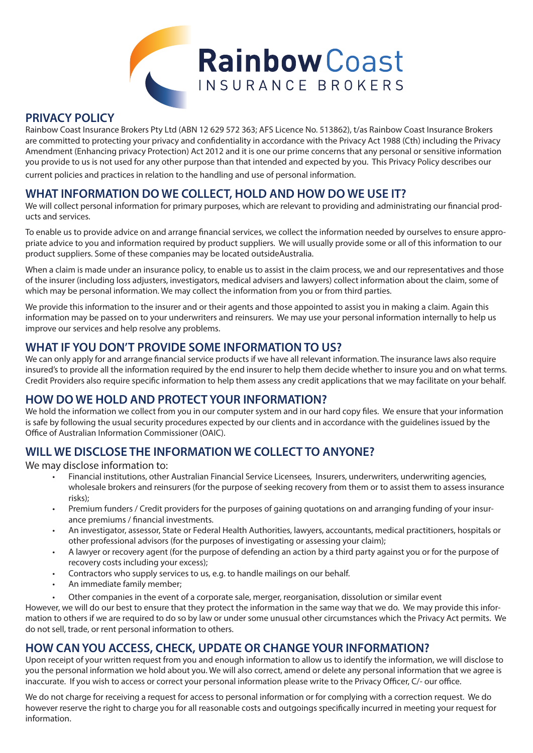

### **PRIVACY POLICY**

Rainbow Coast Insurance Brokers Pty Ltd (ABN 12 629 572 363; AFS Licence No. 513862), t/as Rainbow Coast Insurance Brokers are committed to protecting your privacy and confidentiality in accordance with the Privacy Act 1988 (Cth) including the Privacy Amendment (Enhancing privacy Protection) Act 2012 and it is one our prime concerns that any personal or sensitive information you provide to us is not used for any other purpose than that intended and expected by you. This Privacy Policy describes our

current policies and practices in relation to the handling and use of personal information.

# **WHAT INFORMATION DO WE COLLECT, HOLD AND HOW DO WE USE IT?**

We will collect personal information for primary purposes, which are relevant to providing and administrating our financial products and services.

To enable us to provide advice on and arrange financial services, we collect the information needed by ourselves to ensure appropriate advice to you and information required by product suppliers. We will usually provide some or all of this information to our product suppliers. Some of these companies may be located outsideAustralia.

When a claim is made under an insurance policy, to enable us to assist in the claim process, we and our representatives and those of the insurer (including loss adjusters, investigators, medical advisers and lawyers) collect information about the claim, some of which may be personal information. We may collect the information from you or from third parties.

We provide this information to the insurer and or their agents and those appointed to assist you in making a claim. Again this information may be passed on to your underwriters and reinsurers. We may use your personal information internally to help us improve our services and help resolve any problems.

# **WHAT IF YOU DON'T PROVIDE SOME INFORMATION TO US?**

We can only apply for and arrange financial service products if we have all relevant information. The insurance laws also require insured's to provide all the information required by the end insurer to help them decide whether to insure you and on what terms. Credit Providers also require specific information to help them assess any credit applications that we may facilitate on your behalf.

### **HOW DO WE HOLD AND PROTECT YOUR INFORMATION?**

We hold the information we collect from you in our computer system and in our hard copy files. We ensure that your information is safe by following the usual security procedures expected by our clients and in accordance with the guidelines issued by the Office of Australian Information Commissioner (OAIC).

# **WILL WE DISCLOSE THE INFORMATION WE COLLECT TO ANYONE?**

We may disclose information to:

- Financial institutions, other Australian Financial Service Licensees, Insurers, underwriters, underwriting agencies, wholesale brokers and reinsurers (for the purpose of seeking recovery from them or to assist them to assess insurance risks);
- Premium funders / Credit providers for the purposes of gaining quotations on and arranging funding of your insurance premiums / financial investments.
- An investigator, assessor, State or Federal Health Authorities, lawyers, accountants, medical practitioners, hospitals or other professional advisors (for the purposes of investigating or assessing your claim);
- A lawyer or recovery agent (for the purpose of defending an action by a third party against you or for the purpose of recovery costs including your excess);
- Contractors who supply services to us, e.g. to handle mailings on our behalf.
- An immediate family member;
- Other companies in the event of a corporate sale, merger, reorganisation, dissolution or similar event

However, we will do our best to ensure that they protect the information in the same way that we do. We may provide this information to others if we are required to do so by law or under some unusual other circumstances which the Privacy Act permits. We do not sell, trade, or rent personal information to others.

## **HOW CAN YOU ACCESS, CHECK, UPDATE OR CHANGE YOUR INFORMATION?**

Upon receipt of your written request from you and enough information to allow us to identify the information, we will disclose to you the personal information we hold about you. We will also correct, amend or delete any personal information that we agree is inaccurate. If you wish to access or correct your personal information please write to the Privacy Officer, C/- our office.

We do not charge for receiving a request for access to personal information or for complying with a correction request. We do however reserve the right to charge you for all reasonable costs and outgoings specifically incurred in meeting your request for information.